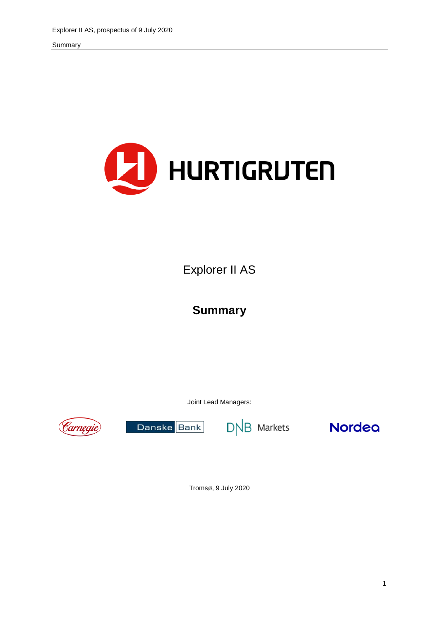

Explorer II AS

# **Summary**

Joint Lead Managers:



Danske Bank

 $D\overline{AB}$  Markets



Tromsø, 9 July 2020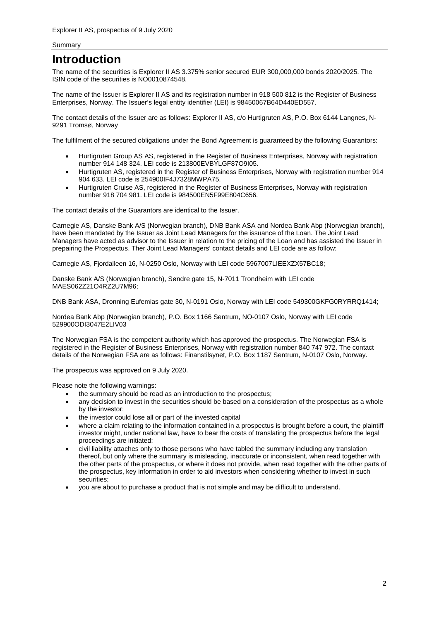## **Introduction**

The name of the securities is Explorer II AS 3.375% senior secured EUR 300,000,000 bonds 2020/2025. The ISIN code of the securities is NO0010874548.

The name of the Issuer is Explorer II AS and its registration number in 918 500 812 is the Register of Business Enterprises, Norway. The Issuer's legal entity identifier (LEI) is 98450067B64D440ED557.

The contact details of the Issuer are as follows: Explorer II AS, c/o Hurtigruten AS, P.O. Box 6144 Langnes, N-9291 Tromsø, Norway

The fulfilment of the secured obligations under the Bond Agreement is guaranteed by the following Guarantors:

- Hurtigruten Group AS AS, registered in the Register of Business Enterprises, Norway with registration number 914 148 324. LEI code is 213800EVBYLGF87O9I05.
- Hurtigruten AS, registered in the Register of Business Enterprises, Norway with registration number 914 904 633. LEI code is 254900IF4J7328MWPA75.
- Hurtigruten Cruise AS, registered in the Register of Business Enterprises, Norway with registration number 918 704 981. LEI code is 984500EN5F99E804C656.

The contact details of the Guarantors are identical to the Issuer.

Carnegie AS, Danske Bank A/S (Norwegian branch), DNB Bank ASA and Nordea Bank Abp (Norwegian branch), have been mandated by the Issuer as Joint Lead Managers for the issuance of the Loan. The Joint Lead Managers have acted as advisor to the Issuer in relation to the pricing of the Loan and has assisted the Issuer in prepairing the Prospectus. Ther Joint Lead Managers' contact details and LEI code are as follow:

Carnegie AS, Fjordalleen 16, N-0250 Oslo, Norway with LEI code 5967007LIEEXZX57BC18;

Danske Bank A/S (Norwegian branch), Søndre gate 15, N-7011 Trondheim with LEI code MAES062Z21O4RZ2U7M96;

DNB Bank ASA, Dronning Eufemias gate 30, N-0191 Oslo, Norway with LEI code 549300GKFG0RYRRQ1414;

Nordea Bank Abp (Norwegian branch), P.O. Box 1166 Sentrum, NO-0107 Oslo, Norway with LEI code 529900ODI3047E2LIV03

The Norwegian FSA is the competent authority which has approved the prospectus. The Norwegian FSA is registered in the Register of Business Enterprises, Norway with registration number 840 747 972. The contact details of the Norwegian FSA are as follows: Finanstilsynet, P.O. Box 1187 Sentrum, N-0107 Oslo, Norway.

The prospectus was approved on 9 July 2020.

Please note the following warnings:

- the summary should be read as an introduction to the prospectus;
- any decision to invest in the securities should be based on a consideration of the prospectus as a whole by the investor;
- the investor could lose all or part of the invested capital
- where a claim relating to the information contained in a prospectus is brought before a court, the plaintiff investor might, under national law, have to bear the costs of translating the prospectus before the legal proceedings are initiated;
- civil liability attaches only to those persons who have tabled the summary including any translation thereof, but only where the summary is misleading, inaccurate or inconsistent, when read together with the other parts of the prospectus, or where it does not provide, when read together with the other parts of the prospectus, key information in order to aid investors when considering whether to invest in such securities;
- you are about to purchase a product that is not simple and may be difficult to understand.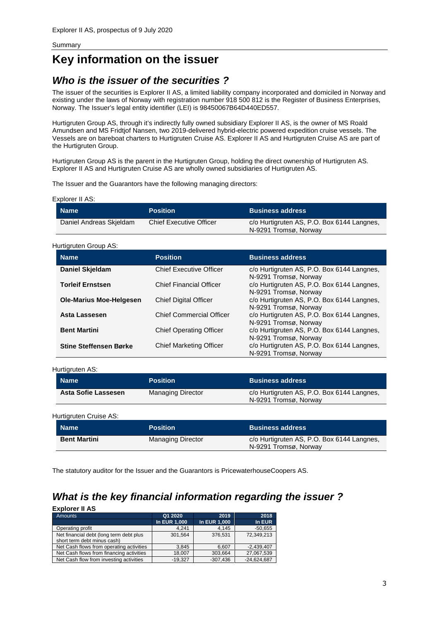# **Key information on the issuer**

## *Who is the issuer of the securities ?*

The issuer of the securities is Explorer II AS, a limited liability company incorporated and domiciled in Norway and existing under the laws of Norway with registration number 918 500 812 is the Register of Business Enterprises, Norway. The Issuer's legal entity identifier (LEI) is 98450067B64D440ED557.

Hurtigruten Group AS, through it's indirectly fully owned subsidiary Explorer II AS, is the owner of MS Roald Amundsen and MS Fridtjof Nansen, two 2019-delivered hybrid-electric powered expedition cruise vessels. The Vessels are on bareboat charters to Hurtigruten Cruise AS. Explorer II AS and Hurtigruten Cruise AS are part of the Hurtigruten Group.

Hurtigruten Group AS is the parent in the Hurtigruten Group, holding the direct ownership of Hurtigruten AS. Explorer II AS and Hurtigruten Cruise AS are wholly owned subsidiaries of Hurtigruten AS.

The Issuer and the Guarantors have the following managing directors:

| Explorer II AS: |  |
|-----------------|--|
|-----------------|--|

| ,Name <sup>!</sup>      | <b>Position</b>                | <b>Business address</b>                                             |
|-------------------------|--------------------------------|---------------------------------------------------------------------|
| Daniel Andreas Skieldam | <b>Chief Executive Officer</b> | c/o Hurtigruten AS, P.O. Box 6144 Langnes,<br>N-9291 Tromsø, Norway |

### Hurtigruten Group AS:

| <b>Name</b>                    | <b>Position</b>                 | <b>Business address</b>                                             |  |
|--------------------------------|---------------------------------|---------------------------------------------------------------------|--|
| Daniel Skjeldam                | <b>Chief Executive Officer</b>  | c/o Hurtigruten AS, P.O. Box 6144 Langnes,<br>N-9291 Tromsø, Norway |  |
| <b>Torleif Ernstsen</b>        | <b>Chief Financial Officer</b>  | c/o Hurtigruten AS, P.O. Box 6144 Langnes,<br>N-9291 Tromsø, Norway |  |
| <b>Ole-Marius Moe-Helgesen</b> | <b>Chief Digital Officer</b>    | c/o Hurtigruten AS, P.O. Box 6144 Langnes,<br>N-9291 Tromsø, Norway |  |
| Asta Lassesen                  | <b>Chief Commercial Officer</b> | c/o Hurtigruten AS, P.O. Box 6144 Langnes,<br>N-9291 Tromsø, Norway |  |
| <b>Bent Martini</b>            | <b>Chief Operating Officer</b>  | c/o Hurtigruten AS, P.O. Box 6144 Langnes,<br>N-9291 Tromsø, Norway |  |
| <b>Stine Steffensen Børke</b>  | <b>Chief Marketing Officer</b>  | c/o Hurtigruten AS, P.O. Box 6144 Langnes,<br>N-9291 Tromsø, Norway |  |

#### Hurtigruten AS:

| <b>Name</b>         | <b>Position</b>   | <b>Business address</b>                                             |
|---------------------|-------------------|---------------------------------------------------------------------|
| Asta Sofie Lassesen | Managing Director | c/o Hurtigruten AS, P.O. Box 6144 Langnes,<br>N-9291 Tromsø, Norway |

Hurtigruten Cruise AS: **Name Position Business address Position Bent Martini Managing Director c/o Hurtigruten AS, P.O. Box 6144 Langnes,** N-9291 Tromsø, Norway

The statutory auditor for the Issuer and the Guarantors is PricewaterhouseCoopers AS.

## *What is the key financial information regarding the issuer ?*

| <b>Explorer II AS</b>                                                  |                     |              |               |
|------------------------------------------------------------------------|---------------------|--------------|---------------|
| <b>Amounts</b>                                                         | Q1 2020             | 2019         | 2018          |
|                                                                        | <b>In EUR 1,000</b> | In EUR 1,000 | In EUR        |
| Operating profit                                                       | 4.241               | 4,145        | $-50,655$     |
| Net financial debt (long term debt plus<br>short term debt minus cash) | 301.564             | 376.531      | 72.349.213    |
| Net Cash flows from operating activities                               | 3.845               | 6,607        | $-2.439.407$  |
| Net Cash flows from financing activities                               | 18,007              | 303,664      | 27,067,539    |
| Net Cash flow from investing activities                                | $-19.327$           | $-307.436$   | $-24.624.687$ |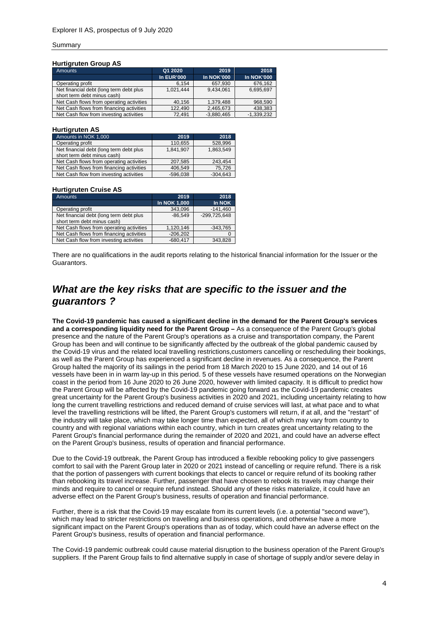### **Hurtigruten Group AS**

| <b>Amounts</b>                                                         | Q1 2020           | 2019              | 2018              |
|------------------------------------------------------------------------|-------------------|-------------------|-------------------|
|                                                                        | <b>In EUR'000</b> | <b>In NOK'000</b> | <b>In NOK'000</b> |
| Operating profit                                                       | 6.154             | 657,930           | 676,162           |
| Net financial debt (long term debt plus<br>short term debt minus cash) | 1.021.444         | 9.434.061         | 6,695,697         |
| Net Cash flows from operating activities                               | 40.156            | 1.379.488         | 968,590           |
| Net Cash flows from financing activities                               | 122.490           | 2.465.673         | 438.383           |
| Net Cash flow from investing activities                                | 72.491            | $-3.880.465$      | $-1.339.232$      |

#### **Hurtigruten AS**

| Amounts in NOK 1,000                                                   | 2019       | 2018       |
|------------------------------------------------------------------------|------------|------------|
| Operating profit                                                       | 110,655    | 528,996    |
| Net financial debt (long term debt plus<br>short term debt minus cash) | 1.841.907  | 1.863.549  |
| Net Cash flows from operating activities                               | 207,585    | 243.454    |
| Net Cash flows from financing activities                               | 406.549    | 75.726     |
| Net Cash flow from investing activities                                | $-596.038$ | $-304.643$ |

### **Hurtigruten Cruise AS**

| <b>Amounts</b>                           | 2019         | 2018           |
|------------------------------------------|--------------|----------------|
|                                          | In NOK 1,000 | In NOK         |
| Operating profit                         | 343.096      | $-141,460$     |
| Net financial debt (long term debt plus  | $-86.549$    | $-299,725,648$ |
| short term debt minus cash)              |              |                |
| Net Cash flows from operating activities | 1,120,146    | $-343,765$     |
| Net Cash flows from financing activities | $-206,202$   |                |
| Net Cash flow from investing activities  | $-680.417$   | 343.828        |

There are no qualifications in the audit reports relating to the historical financial information for the Issuer or the Guarantors.

## *What are the key risks that are specific to the issuer and the guarantors ?*

**The Covid-19 pandemic has caused a significant decline in the demand for the Parent Group's services and a corresponding liquidity need for the Parent Group –** As a consequence of the Parent Group's global presence and the nature of the Parent Group's operations as a cruise and transportation company, the Parent Group has been and will continue to be significantly affected by the outbreak of the global pandemic caused by the Covid-19 virus and the related local travelling restrictions,customers cancelling or rescheduling their bookings, as well as the Parent Group has experienced a significant decline in revenues. As a consequence, the Parent Group halted the majority of its sailings in the period from 18 March 2020 to 15 June 2020, and 14 out of 16 vessels have been in in warm lay-up in this period. 5 of these vessels have resumed operations on the Norwegian coast in the period from 16 June 2020 to 26 June 2020, however with limited capacity. It is difficult to predict how the Parent Group will be affected by the Covid-19 pandemic going forward as the Covid-19 pandemic creates great uncertainty for the Parent Group's business activities in 2020 and 2021, including uncertainty relating to how long the current travelling restrictions and reduced demand of cruise services will last, at what pace and to what level the travelling restrictions will be lifted, the Parent Group's customers will return, if at all, and the "restart" of the industry will take place, which may take longer time than expected, all of which may vary from country to country and with regional variations within each country, which in turn creates great uncertainty relating to the Parent Group's financial performance during the remainder of 2020 and 2021, and could have an adverse effect on the Parent Group's business, results of operation and financial performance.

Due to the Covid-19 outbreak, the Parent Group has introduced a flexible rebooking policy to give passengers comfort to sail with the Parent Group later in 2020 or 2021 instead of cancelling or require refund. There is a risk that the portion of passengers with current bookings that elects to cancel or require refund of its booking rather than rebooking its travel increase. Further, passenger that have chosen to rebook its travels may change their minds and require to cancel or require refund instead. Should any of these risks materialize, it could have an adverse effect on the Parent Group's business, results of operation and financial performance.

Further, there is a risk that the Covid-19 may escalate from its current levels (i.e. a potential "second wave"), which may lead to stricter restrictions on travelling and business operations, and otherwise have a more significant impact on the Parent Group's operations than as of today, which could have an adverse effect on the Parent Group's business, results of operation and financial performance.

The Covid-19 pandemic outbreak could cause material disruption to the business operation of the Parent Group's suppliers. If the Parent Group fails to find alternative supply in case of shortage of supply and/or severe delay in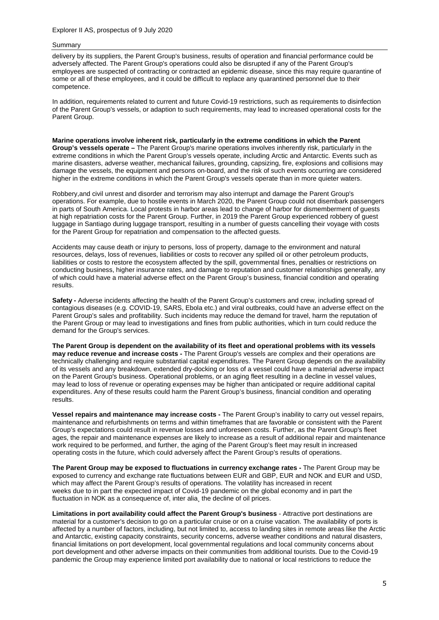delivery by its suppliers, the Parent Group's business, results of operation and financial performance could be adversely affected. The Parent Group's operations could also be disrupted if any of the Parent Group's employees are suspected of contracting or contracted an epidemic disease, since this may require quarantine of some or all of these employees, and it could be difficult to replace any quarantined personnel due to their competence.

In addition, requirements related to current and future Covid-19 restrictions, such as requirements to disinfection of the Parent Group's vessels, or adaption to such requirements, may lead to increased operational costs for the Parent Group.

**Marine operations involve inherent risk, particularly in the extreme conditions in which the Parent Group's vessels operate –** The Parent Group's marine operations involves inherently risk, particularly in the extreme conditions in which the Parent Group's vessels operate, including Arctic and Antarctic. Events such as marine disasters, adverse weather, mechanical failures, grounding, capsizing, fire, explosions and collisions may damage the vessels, the equipment and persons on-board, and the risk of such events occurring are considered higher in the extreme conditions in which the Parent Group's vessels operate than in more quieter waters.

Robbery,and civil unrest and disorder and terrorism may also interrupt and damage the Parent Group's operations. For example, due to hostile events in March 2020, the Parent Group could not disembark passengers in parts of South America. Local protests in harbor areas lead to change of harbor for dismemberment of guests at high repatriation costs for the Parent Group. Further, in 2019 the Parent Group experienced robbery of guest luggage in Santiago during luggage transport, resulting in a number of guests cancelling their voyage with costs for the Parent Group for repatriation and compensation to the affected guests.

Accidents may cause death or injury to persons, loss of property, damage to the environment and natural resources, delays, loss of revenues, liabilities or costs to recover any spilled oil or other petroleum products, liabilities or costs to restore the ecosystem affected by the spill, governmental fines, penalties or restrictions on conducting business, higher insurance rates, and damage to reputation and customer relationships generally, any of which could have a material adverse effect on the Parent Group's business, financial condition and operating results.

**Safety -** Adverse incidents affecting the health of the Parent Group's customers and crew, including spread of contagious diseases (e.g. COVID-19, SARS, Ebola etc.) and viral outbreaks, could have an adverse effect on the Parent Group's sales and profitability. Such incidents may reduce the demand for travel, harm the reputation of the Parent Group or may lead to investigations and fines from public authorities, which in turn could reduce the demand for the Group's services.

**The Parent Group is dependent on the availability of its fleet and operational problems with its vessels may reduce revenue and increase costs -** The Parent Group's vessels are complex and their operations are technically challenging and require substantial capital expenditures. The Parent Group depends on the availability of its vessels and any breakdown, extended dry-docking or loss of a vessel could have a material adverse impact on the Parent Group's business. Operational problems, or an aging fleet resulting in a decline in vessel values, may lead to loss of revenue or operating expenses may be higher than anticipated or require additional capital expenditures. Any of these results could harm the Parent Group's business, financial condition and operating results.

**Vessel repairs and maintenance may increase costs -** The Parent Group's inability to carry out vessel repairs, maintenance and refurbishments on terms and within timeframes that are favorable or consistent with the Parent Group's expectations could result in revenue losses and unforeseen costs. Further, as the Parent Group's fleet ages, the repair and maintenance expenses are likely to increase as a result of additional repair and maintenance work required to be performed, and further, the aging of the Parent Group's fleet may result in increased operating costs in the future, which could adversely affect the Parent Group's results of operations.

**The Parent Group may be exposed to fluctuations in currency exchange rates -** The Parent Group may be exposed to currency and exchange rate fluctuations between EUR and GBP, EUR and NOK and EUR and USD, which may affect the Parent Group's results of operations. The volatility has increased in recent weeks due to in part the expected impact of Covid-19 pandemic on the global economy and in part the fluctuation in NOK as a consequence of, inter alia, the decline of oil prices.

**Limitations in port availability could affect the Parent Group's business** - Attractive port destinations are material for a customer's decision to go on a particular cruise or on a cruise vacation. The availability of ports is affected by a number of factors, including, but not limited to, access to landing sites in remote areas like the Arctic and Antarctic, existing capacity constraints, security concerns, adverse weather conditions and natural disasters, financial limitations on port development, local governmental regulations and local community concerns about port development and other adverse impacts on their communities from additional tourists. Due to the Covid-19 pandemic the Group may experience limited port availability due to national or local restrictions to reduce the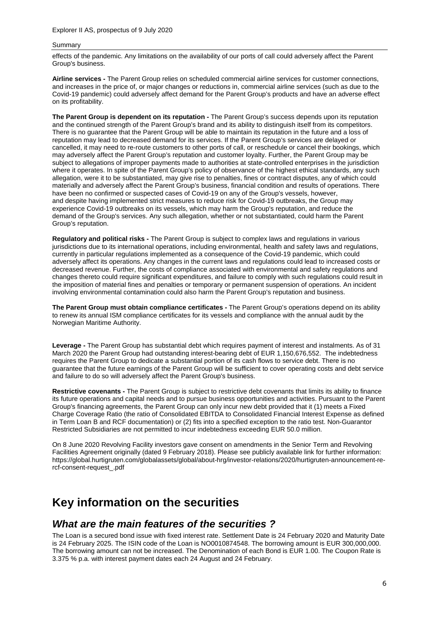effects of the pandemic. Any limitations on the availability of our ports of call could adversely affect the Parent Group's business.

**Airline services -** The Parent Group relies on scheduled commercial airline services for customer connections, and increases in the price of, or major changes or reductions in, commercial airline services (such as due to the Covid-19 pandemic) could adversely affect demand for the Parent Group's products and have an adverse effect on its profitability.

**The Parent Group is dependent on its reputation -** The Parent Group's success depends upon its reputation and the continued strength of the Parent Group's brand and its ability to distinguish itself from its competitors. There is no guarantee that the Parent Group will be able to maintain its reputation in the future and a loss of reputation may lead to decreased demand for its services. If the Parent Group's services are delayed or cancelled, it may need to re-route customers to other ports of call, or reschedule or cancel their bookings, which may adversely affect the Parent Group's reputation and customer loyalty. Further, the Parent Group may be subject to allegations of improper payments made to authorities at state-controlled enterprises in the jurisdiction where it operates. In spite of the Parent Group's policy of observance of the highest ethical standards, any such allegation, were it to be substantiated, may give rise to penalties, fines or contract disputes, any of which could materially and adversely affect the Parent Group's business, financial condition and results of operations. There have been no confirmed or suspected cases of Covid-19 on any of the Group's vessels, however, and despite having implemented strict measures to reduce risk for Covid-19 outbreaks, the Group may experience Covid-19 outbreaks on its vessels, which may harm the Group's reputation, and reduce the demand of the Group's services. Any such allegation, whether or not substantiated, could harm the Parent Group's reputation.

**Regulatory and political risks -** The Parent Group is subject to complex laws and regulations in various jurisdictions due to its international operations, including environmental, health and safety laws and regulations, currently in particular regulations implemented as a consequence of the Covid-19 pandemic, which could adversely affect its operations. Any changes in the current laws and regulations could lead to increased costs or decreased revenue. Further, the costs of compliance associated with environmental and safety regulations and changes thereto could require significant expenditures, and failure to comply with such regulations could result in the imposition of material fines and penalties or temporary or permanent suspension of operations. An incident involving environmental contamination could also harm the Parent Group's reputation and business.

**The Parent Group must obtain compliance certificates -** The Parent Group's operations depend on its ability to renew its annual ISM compliance certificates for its vessels and compliance with the annual audit by the Norwegian Maritime Authority.

**Leverage -** The Parent Group has substantial debt which requires payment of interest and instalments. As of 31 March 2020 the Parent Group had outstanding interest-bearing debt of EUR 1,150,676,552. The indebtedness requires the Parent Group to dedicate a substantial portion of its cash flows to service debt. There is no guarantee that the future earnings of the Parent Group will be sufficient to cover operating costs and debt service and failure to do so will adversely affect the Parent Group's business.

**Restrictive covenants -** The Parent Group is subject to restrictive debt covenants that limits its ability to finance its future operations and capital needs and to pursue business opportunities and activities. Pursuant to the Parent Group's financing agreements, the Parent Group can only incur new debt provided that it (1) meets a Fixed Charge Coverage Ratio (the ratio of Consolidated EBITDA to Consolidated Financial Interest Expense as defined in Term Loan B and RCF documentation) or (2) fits into a specified exception to the ratio test. Non-Guarantor Restricted Subsidiaries are not permitted to incur indebtedness exceeding EUR 50.0 million.

On 8 June 2020 Revolving Facility investors gave consent on amendments in the Senior Term and Revolving Facilities Agreement originally (dated 9 February 2018). Please see publicly available link for further information: https://global.hurtigruten.com/globalassets/global/about-hrg/investor-relations/2020/hurtigruten-announcement-rercf-consent-request\_.pdf

## **Key information on the securities**

### *What are the main features of the securities ?*

The Loan is a secured bond issue with fixed interest rate. Settlement Date is 24 February 2020 and Maturity Date is 24 February 2025. The ISIN code of the Loan is NO0010874548. The borrowing amount is EUR 300,000,000. The borrowing amount can not be increased. The Denomination of each Bond is EUR 1.00. The Coupon Rate is 3.375 % p.a. with interest payment dates each 24 August and 24 February.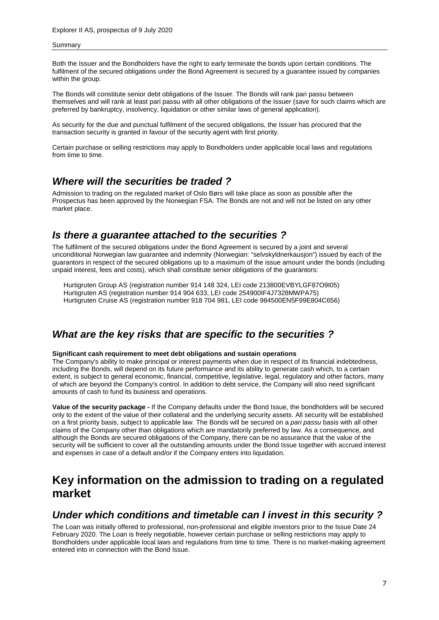Both the Issuer and the Bondholders have the right to early terminate the bonds upon certain conditions. The fulfilment of the secured obligations under the Bond Agreement is secured by a guarantee issued by companies within the group.

The Bonds will constitute senior debt obligations of the Issuer. The Bonds will rank pari passu between themselves and will rank at least pari passu with all other obligations of the Issuer (save for such claims which are preferred by bankruptcy, insolvency, liquidation or other similar laws of general application).

As security for the due and punctual fulfilment of the secured obligations, the Issuer has procured that the transaction security is granted in favour of the security agent with first priority.

Certain purchase or selling restrictions may apply to Bondholders under applicable local laws and regulations from time to time.

### *Where will the securities be traded ?*

Admission to trading on the regulated market of Oslo Børs will take place as soon as possible after the Prospectus has been approved by the Norwegian FSA. The Bonds are not and will not be listed on any other market place.

### *Is there a guarantee attached to the securities ?*

The fulfilment of the secured obligations under the Bond Agreement is secured by a joint and several unconditional Norwegian law guarantee and indemnity (Norwegian: "selvskyldnerkausjon") issued by each of the guarantors in respect of the secured obligations up to a maximum of the issue amount under the bonds (including unpaid interest, fees and costs), which shall constitute senior obligations of the guarantors:

Hurtigruten Group AS (registration number 914 148 324, LEI code 213800EVBYLGF87O9I05) Hurtigruten AS (registration number 914 904 633, LEI code 254900IF4J7328MWPA75) Hurtigruten Cruise AS (registration number 918 704 981, LEI code 984500EN5F99E804C656)

## *What are the key risks that are specific to the securities ?*

### **Significant cash requirement to meet debt obligations and sustain operations**

The Company's ability to make principal or interest payments when due in respect of its financial indebtedness, including the Bonds, will depend on its future performance and its ability to generate cash which, to a certain extent, is subject to general economic, financial, competitive, legislative, legal, regulatory and other factors, many of which are beyond the Company's control. In addition to debt service, the Company will also need significant amounts of cash to fund its business and operations.

**Value of the security package -** If the Company defaults under the Bond Issue, the bondholders will be secured only to the extent of the value of their collateral and the underlying security assets. All security will be established on a first priority basis, subject to applicable law. The Bonds will be secured on a *pari passu* basis with all other claims of the Company other than obligations which are mandatorily preferred by law. As a consequence, and although the Bonds are secured obligations of the Company, there can be no assurance that the value of the security will be sufficient to cover all the outstanding amounts under the Bond Issue together with accrued interest and expenses in case of a default and/or if the Company enters into liquidation.

# **Key information on the admission to trading on a regulated market**

### *Under which conditions and timetable can I invest in this security ?*

The Loan was initially offered to professional, non-professional and eligible investors prior to the Issue Date 24 February 2020. The Loan is freely negotiable, however certain purchase or selling restrictions may apply to Bondholders under applicable local laws and regulations from time to time. There is no market-making agreement entered into in connection with the Bond Issue.